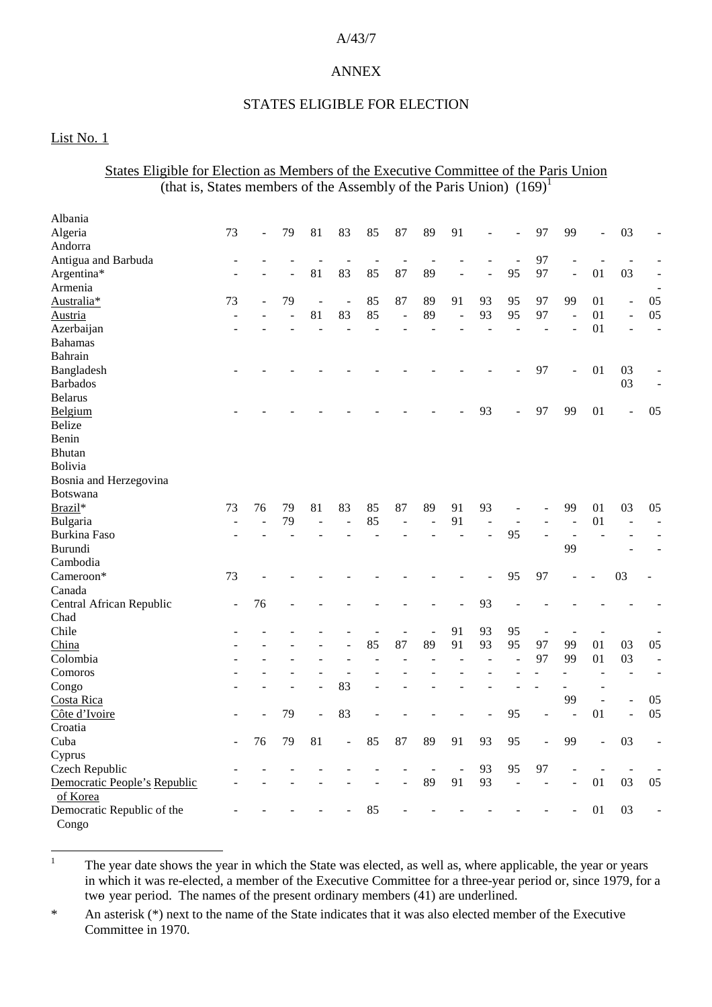#### A/43/7

### ANNEX

#### STATES ELIGIBLE FOR ELECTION

### List No. 1

### States Eligible for Election as Members of the Executive Committee of the Paris Union (that is, States members of the Assembly of the Paris Union)  $(169)^1$

| Albania                      |                          |                |    |                          |                |    |                          |                |                          |                |                |                |                          |                          |                          |                          |
|------------------------------|--------------------------|----------------|----|--------------------------|----------------|----|--------------------------|----------------|--------------------------|----------------|----------------|----------------|--------------------------|--------------------------|--------------------------|--------------------------|
| Algeria                      | 73                       | $\blacksquare$ | 79 | 81                       | 83             | 85 | 87                       | 89             | 91                       |                |                | 97             | 99                       | $\overline{a}$           | 03                       |                          |
| Andorra                      |                          |                |    |                          |                |    |                          |                |                          |                |                |                |                          |                          |                          |                          |
| Antigua and Barbuda          |                          |                |    | $\overline{a}$           | $\overline{a}$ |    | $\overline{a}$           | ÷,             |                          |                |                | 97             |                          |                          |                          |                          |
| Argentina*                   | ÷.                       |                | ۳  | 81                       | 83             | 85 | 87                       | 89             | L,                       | L.             | 95             | 97             | ÷,                       | 01                       | 03                       | $\overline{\phantom{a}}$ |
| Armenia                      |                          |                |    |                          |                |    |                          |                |                          |                |                |                |                          |                          |                          |                          |
| Australia*                   | 73                       |                | 79 | $\overline{\phantom{a}}$ | $\overline{a}$ | 85 | 87                       | 89             | 91                       | 93             | 95             | 97             | 99                       | 01                       | $\overline{a}$           | 05                       |
| Austria                      | $\overline{\phantom{a}}$ |                |    | 81                       | 83             | 85 | $\overline{\phantom{a}}$ | 89             | $\overline{a}$           | 93             | 95             | 97             |                          | 01                       | $\blacksquare$           | 05                       |
| Azerbaijan                   |                          |                |    |                          |                |    |                          |                |                          |                |                |                |                          | 01                       |                          | $\overline{a}$           |
| <b>Bahamas</b>               |                          |                |    |                          |                |    |                          |                |                          |                |                |                |                          |                          |                          |                          |
| Bahrain                      |                          |                |    |                          |                |    |                          |                |                          |                |                |                |                          |                          |                          |                          |
| Bangladesh                   |                          |                |    |                          |                |    |                          |                |                          |                |                | 97             |                          | 01                       | 03                       |                          |
| <b>Barbados</b>              |                          |                |    |                          |                |    |                          |                |                          |                |                |                |                          |                          | 03                       |                          |
| <b>Belarus</b>               |                          |                |    |                          |                |    |                          |                |                          |                |                |                |                          |                          |                          |                          |
| Belgium                      |                          |                |    |                          |                |    |                          |                |                          | 93             |                | 97             | 99                       | 01                       | $\overline{\phantom{a}}$ | 05                       |
| <b>Belize</b>                |                          |                |    |                          |                |    |                          |                |                          |                |                |                |                          |                          |                          |                          |
| Benin                        |                          |                |    |                          |                |    |                          |                |                          |                |                |                |                          |                          |                          |                          |
| <b>Bhutan</b>                |                          |                |    |                          |                |    |                          |                |                          |                |                |                |                          |                          |                          |                          |
| Bolivia                      |                          |                |    |                          |                |    |                          |                |                          |                |                |                |                          |                          |                          |                          |
| Bosnia and Herzegovina       |                          |                |    |                          |                |    |                          |                |                          |                |                |                |                          |                          |                          |                          |
| <b>Botswana</b>              |                          |                |    |                          |                |    |                          |                |                          |                |                |                |                          |                          |                          |                          |
| Brazil*                      | 73                       | 76             | 79 | 81                       | 83             | 85 | 87                       | 89             | 91                       | 93             |                |                | 99                       | 01                       | 03                       | 05                       |
| Bulgaria                     |                          |                | 79 | $\overline{a}$           |                | 85 | $\overline{a}$           | $\overline{a}$ | 91                       | $\overline{a}$ | ÷,             |                | $\overline{a}$           | 01                       | ÷.                       | $\overline{a}$           |
| <b>Burkina Faso</b>          |                          |                |    |                          |                |    |                          |                |                          |                | 95             |                |                          |                          |                          |                          |
| Burundi                      |                          |                |    |                          |                |    |                          |                |                          |                |                |                | 99                       |                          |                          |                          |
| Cambodia                     |                          |                |    |                          |                |    |                          |                |                          |                |                |                |                          |                          |                          |                          |
| Cameroon*                    | 73                       |                |    |                          |                |    |                          |                |                          |                | 95             | 97             |                          |                          | 03                       |                          |
| Canada                       |                          |                |    |                          |                |    |                          |                |                          |                |                |                |                          |                          |                          |                          |
| Central African Republic     | $\overline{a}$           | 76             |    |                          |                |    |                          |                |                          | 93             |                |                |                          |                          |                          |                          |
| Chad                         |                          |                |    |                          |                |    |                          |                |                          |                |                |                |                          |                          |                          |                          |
| Chile                        |                          |                |    |                          |                |    | $\overline{a}$           | $\overline{a}$ | 91                       | 93             | 95             | $\overline{a}$ |                          | $\overline{\phantom{a}}$ |                          |                          |
| China                        |                          |                |    |                          |                | 85 | 87                       | 89             | 91                       | 93             | 95             | 97             | 99                       | 01                       | 03                       | 05                       |
| Colombia                     |                          |                |    |                          |                |    |                          |                |                          |                | $\overline{a}$ | 97             | 99                       | 01                       | 03                       | $\overline{a}$           |
| Comoros                      |                          |                |    |                          | $\overline{a}$ |    |                          |                |                          |                |                |                |                          | L.                       | ÷,                       | $\overline{a}$           |
| Congo                        |                          |                |    |                          | 83             |    |                          |                |                          |                |                |                | $\overline{\phantom{a}}$ | ÷                        |                          |                          |
| Costa Rica                   |                          |                |    |                          |                |    |                          |                |                          |                |                |                | 99                       | $\overline{a}$           | ÷,                       | 05                       |
| Côte d'Ivoire                |                          |                | 79 | $\overline{\phantom{a}}$ | 83             |    |                          |                |                          |                | 95             |                |                          | 01                       | $\overline{a}$           | 05                       |
| Croatia                      |                          |                |    |                          |                |    |                          |                |                          |                |                |                |                          |                          |                          |                          |
| Cuba                         |                          | 76             | 79 | 81                       | $\frac{1}{2}$  | 85 | 87                       | 89             | 91                       | 93             | 95             | ÷,             | 99                       | L,                       | 03                       |                          |
| Cyprus                       |                          |                |    |                          |                |    |                          |                |                          |                |                |                |                          |                          |                          |                          |
| Czech Republic               |                          |                |    |                          |                |    |                          | $\blacksquare$ | $\overline{\phantom{a}}$ | 93             | 95             | 97             |                          | ÷,                       | $\overline{a}$           |                          |
| Democratic People's Republic |                          |                |    |                          |                |    |                          | 89             | 91                       | 93             |                |                |                          | 01                       | 03                       | 05                       |
| of Korea                     |                          |                |    |                          |                |    |                          |                |                          |                |                |                |                          |                          |                          |                          |
| Democratic Republic of the   |                          |                |    |                          |                | 85 |                          |                |                          |                |                |                |                          | 01                       | 03                       |                          |
| Congo                        |                          |                |    |                          |                |    |                          |                |                          |                |                |                |                          |                          |                          |                          |

<sup>1</sup> The year date shows the year in which the State was elected, as well as, where applicable, the year or years in which it was re-elected, a member of the Executive Committee for a three-year period or, since 1979, for a two- year period. The names of the present ordinary members (41) are underlined.

\* An asterisk (\*) next to the name of the State indicates that it was also elected member of the Executive Committee in 1970.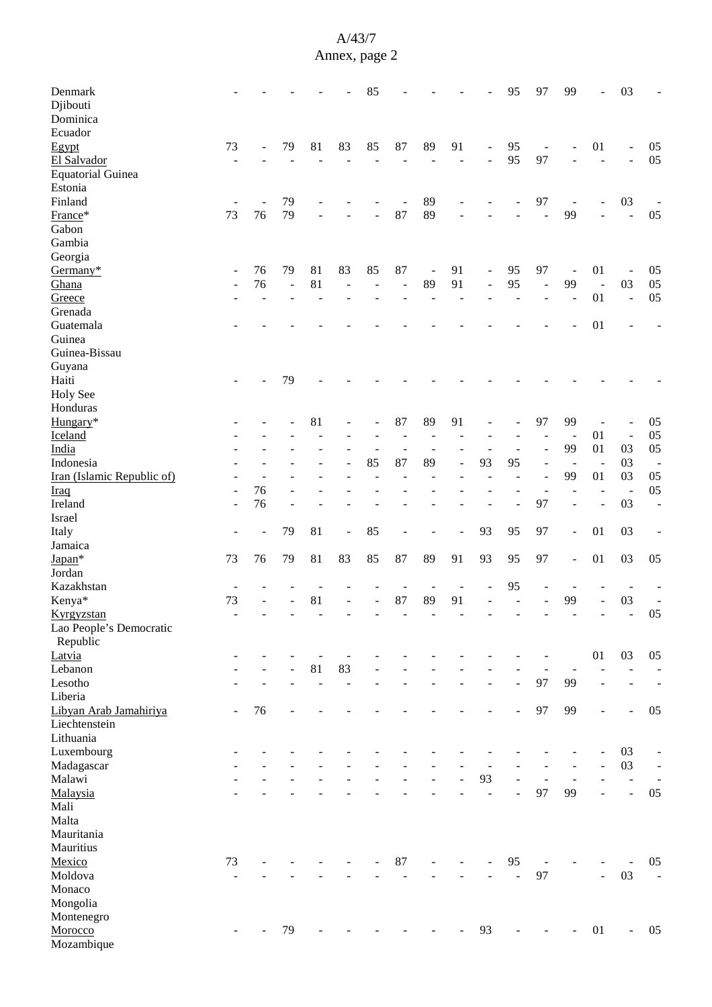| Denmark<br>Djibouti<br>Dominica |    |    |          |                          |                          | 85             |                          |                |    |                          | 95             | 97                       | 99                       | ÷                    | 03             |                          |
|---------------------------------|----|----|----------|--------------------------|--------------------------|----------------|--------------------------|----------------|----|--------------------------|----------------|--------------------------|--------------------------|----------------------|----------------|--------------------------|
| Ecuador                         |    |    |          |                          |                          |                |                          |                |    |                          |                |                          |                          |                      |                |                          |
| Egypt                           | 73 |    | 79       | 81                       | 83                       | 85             | 87                       | 89             | 91 | $\overline{\phantom{a}}$ | 95             | $\overline{\phantom{a}}$ |                          | 01                   | ÷,             | 05                       |
| El Salvador                     |    |    |          |                          |                          |                |                          |                | L, | $\blacksquare$           | 95             | 97                       |                          | $\overline{a}$       | $\overline{a}$ | 05                       |
| <b>Equatorial Guinea</b>        |    |    |          |                          |                          |                |                          |                |    |                          |                |                          |                          |                      |                |                          |
| Estonia                         |    |    |          |                          |                          |                |                          |                |    |                          |                |                          |                          |                      |                |                          |
| Finland                         |    |    | 79       |                          |                          |                |                          | 89             |    |                          |                | 97                       | $\overline{\phantom{a}}$ |                      | 03             |                          |
| France*                         | 73 | 76 | 79       |                          |                          |                | 87                       | 89             |    |                          |                |                          | 99                       |                      | $\overline{a}$ | 05                       |
| Gabon                           |    |    |          |                          |                          |                |                          |                |    |                          |                |                          |                          |                      |                |                          |
| Gambia                          |    |    |          |                          |                          |                |                          |                |    |                          |                |                          |                          |                      |                |                          |
| Georgia                         |    |    |          |                          |                          |                |                          |                |    |                          |                |                          |                          |                      |                |                          |
| Germany*                        | ۰  | 76 | 79       | 81                       | 83                       | 85             | 87                       | $\blacksquare$ | 91 | $\overline{\phantom{a}}$ | 95             | 97                       | $\overline{\phantom{a}}$ | 01                   |                | 05                       |
| Ghana                           |    | 76 | $\equiv$ | 81                       | $\overline{\phantom{a}}$ | $\blacksquare$ | $\overline{\phantom{a}}$ | 89             | 91 | ÷,                       | 95             | $\overline{\phantom{a}}$ | 99                       | $\ddot{\phantom{1}}$ | 03             | 05                       |
| Greece                          |    |    |          |                          |                          |                |                          |                |    |                          |                |                          |                          | 01                   | $\Box$         | 05                       |
| Grenada                         |    |    |          |                          |                          |                |                          |                |    |                          |                |                          |                          |                      |                |                          |
| Guatemala                       |    |    |          |                          |                          |                |                          |                |    |                          |                |                          |                          | 01                   |                |                          |
| Guinea                          |    |    |          |                          |                          |                |                          |                |    |                          |                |                          |                          |                      |                |                          |
|                                 |    |    |          |                          |                          |                |                          |                |    |                          |                |                          |                          |                      |                |                          |
| Guinea-Bissau                   |    |    |          |                          |                          |                |                          |                |    |                          |                |                          |                          |                      |                |                          |
| Guyana                          |    |    |          |                          |                          |                |                          |                |    |                          |                |                          |                          |                      |                |                          |
| Haiti                           |    |    | 79       |                          |                          |                |                          |                |    |                          |                |                          |                          |                      |                |                          |
| <b>Holy See</b>                 |    |    |          |                          |                          |                |                          |                |    |                          |                |                          |                          |                      |                |                          |
| Honduras                        |    |    |          |                          |                          |                |                          |                |    |                          |                |                          |                          |                      |                |                          |
| Hungary*                        |    |    |          | 81                       |                          |                | 87                       | 89             | 91 |                          |                | 97                       | 99                       |                      |                | 05                       |
| Iceland                         |    |    |          |                          |                          |                |                          |                |    |                          |                |                          | $\overline{\phantom{a}}$ | 01                   | $\blacksquare$ | 05                       |
| India                           |    |    |          |                          |                          |                | $\sim$                   | L,             |    | $\blacksquare$           |                | $\blacksquare$           | 99                       | 01                   | 03             | 05                       |
| Indonesia                       |    |    |          |                          |                          | 85             | 87                       | 89             | ÷, | 93                       | 95             |                          | $\overline{\phantom{a}}$ | $\blacksquare$       | 03             | $\overline{\phantom{a}}$ |
| Iran (Islamic Republic of)      |    |    |          |                          |                          |                |                          |                |    |                          |                | $\overline{a}$           | 99                       | 01                   | 03             | 05                       |
| <b>Iraq</b>                     |    | 76 |          |                          |                          |                |                          |                |    |                          |                |                          |                          |                      | $\overline{a}$ | 05                       |
| Ireland                         |    | 76 |          |                          |                          |                |                          |                |    |                          |                | 97                       |                          | $\overline{a}$       | 03             | $\overline{\phantom{a}}$ |
| Israel                          |    |    |          |                          |                          |                |                          |                |    |                          |                |                          |                          |                      |                |                          |
| Italy                           |    |    | 79       | 81                       | $\overline{\phantom{a}}$ | 85             |                          |                |    | 93                       | 95             | 97                       | $\overline{\phantom{a}}$ | 01                   | 03             |                          |
| Jamaica                         |    |    |          |                          |                          |                |                          |                |    |                          |                |                          |                          |                      |                |                          |
| Japan*                          | 73 | 76 | 79       | 81                       | 83                       | 85             | 87                       | 89             | 91 | 93                       | 95             | 97                       | $\overline{\phantom{a}}$ | 01                   | 03             | 05                       |
| Jordan                          |    |    |          |                          |                          |                |                          |                |    |                          |                |                          |                          |                      |                |                          |
| Kazakhstan                      |    |    |          |                          |                          |                |                          |                |    |                          | 95             |                          |                          |                      |                |                          |
| Kenya*                          | 73 |    |          | 81                       |                          |                | 87                       | 89             | 91 |                          |                |                          | 99                       |                      | 03             | $\overline{\phantom{a}}$ |
| Kyrgyzstan                      |    |    |          |                          |                          |                |                          |                |    |                          |                |                          |                          |                      |                | 05                       |
| Lao People's Democratic         |    |    |          |                          |                          |                |                          |                |    |                          |                |                          |                          |                      |                |                          |
| Republic                        |    |    |          |                          |                          |                |                          |                |    |                          |                |                          |                          |                      |                |                          |
| Latvia                          |    |    |          |                          |                          |                |                          |                |    |                          |                |                          |                          | 01                   | 03             | 05                       |
| Lebanon                         |    |    |          | 81                       | 83                       |                |                          |                |    |                          |                |                          |                          |                      |                |                          |
| Lesotho                         |    |    |          | $\overline{\phantom{a}}$ | $\frac{1}{2}$            |                |                          |                |    | ۰                        | ÷,             | 97                       | 99                       | $\overline{a}$       | $\overline{a}$ | $\overline{\phantom{a}}$ |
| Liberia                         |    |    |          |                          |                          |                |                          |                |    |                          |                |                          |                          |                      |                |                          |
| Libyan Arab Jamahiriya          |    | 76 |          |                          |                          |                |                          |                |    |                          |                | 97                       | 99                       |                      | ÷,             | 05                       |
| Liechtenstein                   |    |    |          |                          |                          |                |                          |                |    |                          |                |                          |                          |                      |                |                          |
| Lithuania                       |    |    |          |                          |                          |                |                          |                |    |                          |                |                          |                          |                      |                |                          |
| Luxembourg                      |    |    |          |                          |                          |                |                          |                |    |                          |                |                          |                          | ÷                    | 03             | $\overline{\phantom{a}}$ |
| Madagascar                      |    |    |          |                          |                          |                |                          |                |    |                          |                |                          |                          | $\overline{a}$       | 03             | $\blacksquare$           |
| Malawi                          |    |    |          |                          |                          |                |                          |                |    | 93                       | $\overline{a}$ | ÷,                       | $\overline{\phantom{a}}$ |                      | $\Box$         | $\blacksquare$           |
| Malaysia                        |    |    |          |                          |                          |                |                          |                |    | $\overline{\phantom{a}}$ | $\overline{a}$ | 97                       | 99                       |                      | $\overline{a}$ | 05                       |
| Mali                            |    |    |          |                          |                          |                |                          |                |    |                          |                |                          |                          |                      |                |                          |
| Malta                           |    |    |          |                          |                          |                |                          |                |    |                          |                |                          |                          |                      |                |                          |
| Mauritania                      |    |    |          |                          |                          |                |                          |                |    |                          |                |                          |                          |                      |                |                          |
| Mauritius                       |    |    |          |                          |                          |                |                          |                |    |                          |                |                          |                          |                      |                |                          |
|                                 |    |    |          |                          |                          |                |                          |                |    |                          |                |                          |                          |                      |                |                          |
| Mexico                          | 73 |    |          |                          |                          |                | 87                       |                |    |                          | 95             |                          |                          |                      |                | 05                       |
| Moldova                         |    |    |          |                          |                          |                |                          |                |    |                          | $\overline{a}$ | 97                       |                          | ÷,                   | 03             | $\equiv$                 |
| Monaco                          |    |    |          |                          |                          |                |                          |                |    |                          |                |                          |                          |                      |                |                          |
| Mongolia                        |    |    |          |                          |                          |                |                          |                |    |                          |                |                          |                          |                      |                |                          |
| Montenegro                      |    |    |          |                          |                          |                |                          |                |    |                          |                |                          |                          |                      |                |                          |
| Morocco                         |    |    | 79       |                          |                          |                |                          |                |    | 93                       |                |                          |                          | 01                   | ÷,             | 05                       |
| Mozambique                      |    |    |          |                          |                          |                |                          |                |    |                          |                |                          |                          |                      |                |                          |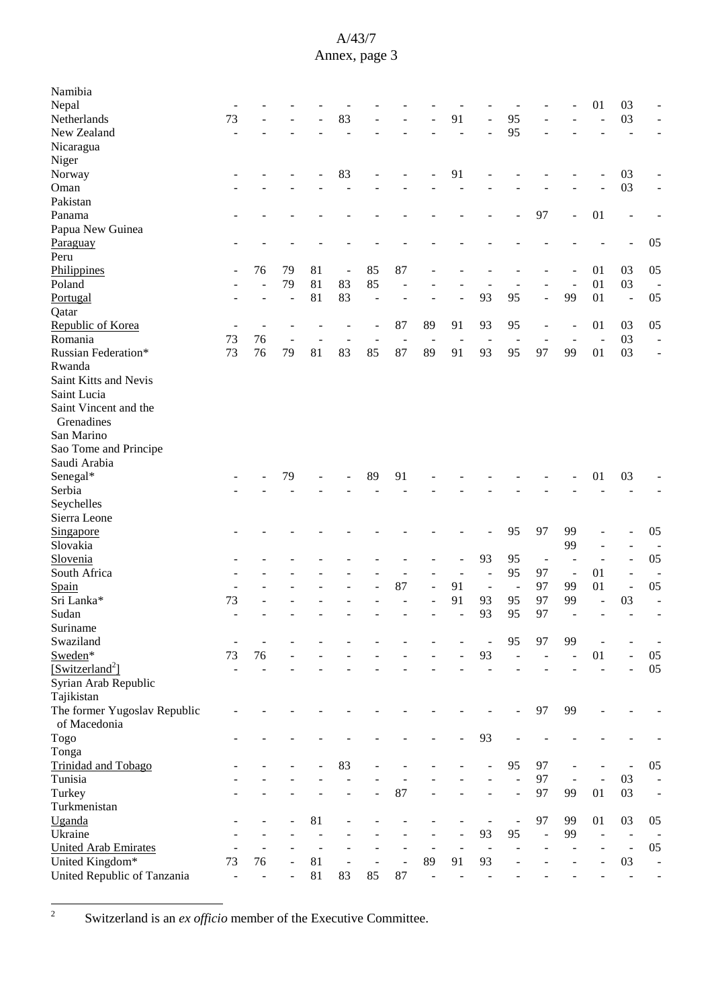| Namibia                      |                          |    |    |    |                          |                          |                          |                          |    |                          |                          |                          |                          |                          |                          |                |
|------------------------------|--------------------------|----|----|----|--------------------------|--------------------------|--------------------------|--------------------------|----|--------------------------|--------------------------|--------------------------|--------------------------|--------------------------|--------------------------|----------------|
| Nepal                        |                          |    |    |    |                          |                          |                          |                          |    |                          |                          |                          |                          | 01                       | 03                       |                |
| Netherlands                  | 73                       |    |    |    | 83                       |                          |                          |                          | 91 |                          | 95                       |                          |                          | J.                       | 03                       |                |
| New Zealand                  | ÷                        |    |    |    |                          |                          |                          |                          |    |                          | 95                       |                          |                          |                          |                          |                |
| Nicaragua                    |                          |    |    |    |                          |                          |                          |                          |    |                          |                          |                          |                          |                          |                          |                |
| Niger                        |                          |    |    |    |                          |                          |                          |                          |    |                          |                          |                          |                          |                          |                          |                |
| Norway                       |                          |    |    |    | 83                       |                          |                          |                          | 91 |                          |                          |                          |                          |                          | 03                       |                |
| Oman                         |                          |    |    |    |                          |                          |                          |                          |    |                          |                          |                          |                          |                          | 03                       |                |
| Pakistan                     |                          |    |    |    |                          |                          |                          |                          |    |                          |                          |                          |                          |                          |                          |                |
| Panama                       |                          |    |    |    |                          |                          |                          |                          |    |                          |                          | 97                       |                          | 01                       |                          |                |
| Papua New Guinea             |                          |    |    |    |                          |                          |                          |                          |    |                          |                          |                          |                          |                          |                          |                |
| Paraguay                     |                          |    |    |    |                          |                          |                          |                          |    |                          |                          |                          |                          |                          |                          | 05             |
| Peru                         |                          |    |    |    |                          |                          |                          |                          |    |                          |                          |                          |                          |                          |                          |                |
| Philippines                  |                          | 76 | 79 | 81 | $\overline{\phantom{a}}$ | 85                       | 87                       |                          |    |                          |                          |                          |                          | 01                       | 03                       | 05             |
| Poland                       |                          |    | 79 | 81 | 83                       | 85                       | $\overline{a}$           |                          |    |                          |                          |                          |                          | 01                       | 03                       | $\overline{a}$ |
| Portugal                     |                          |    | ÷, | 81 | 83                       | $\overline{\phantom{a}}$ |                          |                          |    | 93                       | 95                       |                          | 99                       | 01                       | $\Box$                   | 05             |
| Qatar                        |                          |    |    |    |                          |                          |                          |                          |    |                          |                          |                          |                          |                          |                          |                |
| Republic of Korea            |                          |    |    |    |                          |                          | 87                       | 89                       | 91 | 93                       | 95                       |                          |                          | 01                       | 03                       | 05             |
| Romania                      | $\overline{a}$<br>73     | 76 |    |    |                          |                          |                          |                          |    |                          |                          | $\overline{\phantom{a}}$ |                          |                          | 03                       | L,             |
|                              |                          |    |    |    |                          |                          | $\overline{\phantom{a}}$ | $\overline{\phantom{a}}$ |    |                          | 95                       | 97                       |                          | $\overline{\phantom{a}}$ |                          |                |
| Russian Federation*          | 73                       | 76 | 79 | 81 | 83                       | 85                       | 87                       | 89                       | 91 | 93                       |                          |                          | 99                       | 01                       | 03                       |                |
| Rwanda                       |                          |    |    |    |                          |                          |                          |                          |    |                          |                          |                          |                          |                          |                          |                |
| Saint Kitts and Nevis        |                          |    |    |    |                          |                          |                          |                          |    |                          |                          |                          |                          |                          |                          |                |
| Saint Lucia                  |                          |    |    |    |                          |                          |                          |                          |    |                          |                          |                          |                          |                          |                          |                |
| Saint Vincent and the        |                          |    |    |    |                          |                          |                          |                          |    |                          |                          |                          |                          |                          |                          |                |
| Grenadines                   |                          |    |    |    |                          |                          |                          |                          |    |                          |                          |                          |                          |                          |                          |                |
| San Marino                   |                          |    |    |    |                          |                          |                          |                          |    |                          |                          |                          |                          |                          |                          |                |
| Sao Tome and Principe        |                          |    |    |    |                          |                          |                          |                          |    |                          |                          |                          |                          |                          |                          |                |
| Saudi Arabia                 |                          |    |    |    |                          |                          |                          |                          |    |                          |                          |                          |                          |                          |                          |                |
| Senegal*                     |                          |    | 79 |    |                          | 89                       | 91                       |                          |    |                          |                          |                          |                          | 01                       | 03                       |                |
| Serbia                       |                          |    |    |    |                          |                          |                          |                          |    |                          |                          |                          |                          |                          |                          |                |
| Seychelles                   |                          |    |    |    |                          |                          |                          |                          |    |                          |                          |                          |                          |                          |                          |                |
| Sierra Leone                 |                          |    |    |    |                          |                          |                          |                          |    |                          |                          |                          |                          |                          |                          |                |
| Singapore                    |                          |    |    |    |                          |                          |                          |                          |    |                          | 95                       | 97                       | 99                       |                          |                          | 05             |
| Slovakia                     |                          |    |    |    |                          |                          |                          |                          |    |                          |                          |                          | 99                       | $\overline{\phantom{a}}$ | $\overline{\phantom{a}}$ | $\overline{a}$ |
| Slovenia                     |                          |    |    |    |                          |                          |                          |                          |    | 93                       | 95                       | $\overline{\phantom{a}}$ |                          |                          | $\overline{\phantom{a}}$ | 05             |
| South Africa                 |                          |    |    |    |                          |                          | $\overline{a}$           |                          |    | $\overline{\phantom{a}}$ | 95                       | 97                       | $\overline{\phantom{a}}$ | 01                       | $\overline{\phantom{a}}$ |                |
| Spain                        |                          |    |    |    |                          |                          | 87                       | $\overline{a}$           | 91 | $\blacksquare$           | $\blacksquare$           | 97                       | 99                       | 01                       | ÷,                       | 05             |
| Sri Lanka*                   | 73                       |    |    |    |                          |                          |                          |                          | 91 | 93                       | 95                       | 97                       | 99                       | L,                       | 03                       | L,             |
| Sudan                        |                          |    |    |    |                          |                          |                          |                          |    | 93                       | 95                       | 97                       |                          |                          | $\overline{\phantom{a}}$ |                |
| Suriname                     |                          |    |    |    |                          |                          |                          |                          |    |                          |                          |                          |                          |                          |                          |                |
| Swaziland                    |                          |    |    |    |                          |                          |                          |                          |    |                          | 95                       | 97                       | 99                       |                          |                          |                |
| Sweden*                      | 73                       | 76 |    |    |                          |                          |                          |                          |    | 93                       |                          |                          |                          | 01                       | $\overline{\phantom{a}}$ | $05\,$         |
| [Switzerland <sup>2</sup> ]  |                          |    |    |    |                          |                          |                          |                          |    |                          |                          |                          |                          |                          | $\sim$                   | 05             |
| Syrian Arab Republic         |                          |    |    |    |                          |                          |                          |                          |    |                          |                          |                          |                          |                          |                          |                |
| Tajikistan                   |                          |    |    |    |                          |                          |                          |                          |    |                          |                          |                          |                          |                          |                          |                |
| The former Yugoslav Republic |                          |    |    |    |                          |                          |                          |                          |    |                          |                          | 97                       | 99                       |                          |                          |                |
| of Macedonia                 |                          |    |    |    |                          |                          |                          |                          |    |                          |                          |                          |                          |                          |                          |                |
|                              |                          |    |    |    |                          |                          |                          |                          |    | 93                       |                          |                          |                          |                          |                          |                |
| Togo<br>Tonga                |                          |    |    |    |                          |                          |                          |                          |    |                          |                          |                          |                          |                          |                          |                |
|                              |                          |    |    |    |                          |                          |                          |                          |    |                          |                          |                          |                          |                          |                          |                |
| Trinidad and Tobago          |                          |    |    |    | 83                       |                          |                          |                          |    |                          | 95                       | 97                       |                          |                          |                          | 05             |
| Tunisia                      |                          |    |    |    |                          |                          |                          |                          |    |                          |                          | 97                       | $\overline{\phantom{a}}$ | $\overline{\phantom{a}}$ | 03                       | $\blacksquare$ |
| Turkey                       |                          |    |    |    |                          |                          | 87                       |                          |    |                          | $\overline{a}$           | 97                       | 99                       | 01                       | 03                       | $\blacksquare$ |
| Turkmenistan                 |                          |    |    |    |                          |                          |                          |                          |    |                          |                          |                          |                          |                          |                          |                |
| Uganda                       |                          |    |    | 81 |                          |                          |                          |                          |    |                          | $\overline{\phantom{a}}$ | 97                       | 99                       | 01                       | 03                       | 05             |
| Ukraine                      |                          |    |    |    |                          |                          |                          |                          |    | 93                       | 95                       | $\overline{a}$           | 99                       | $\sim$                   | $\overline{\phantom{a}}$ |                |
| <b>United Arab Emirates</b>  |                          |    |    |    |                          |                          |                          |                          |    | $\blacksquare$           |                          |                          |                          |                          | $\Box$                   | 05             |
| United Kingdom*              | 73                       | 76 |    | 81 | $\overline{\phantom{a}}$ | $\overline{\phantom{a}}$ | $\overline{a}$           | 89                       | 91 | 93                       |                          |                          |                          |                          | 03                       | $\blacksquare$ |
| United Republic of Tanzania  | $\overline{\phantom{a}}$ | ٠  |    | 81 | 83                       | 85                       | 87                       | $\overline{a}$           |    |                          |                          |                          |                          |                          | $\overline{\phantom{a}}$ |                |

<sup>2</sup> Switzerland is an *ex officio* member of the Executive Committee.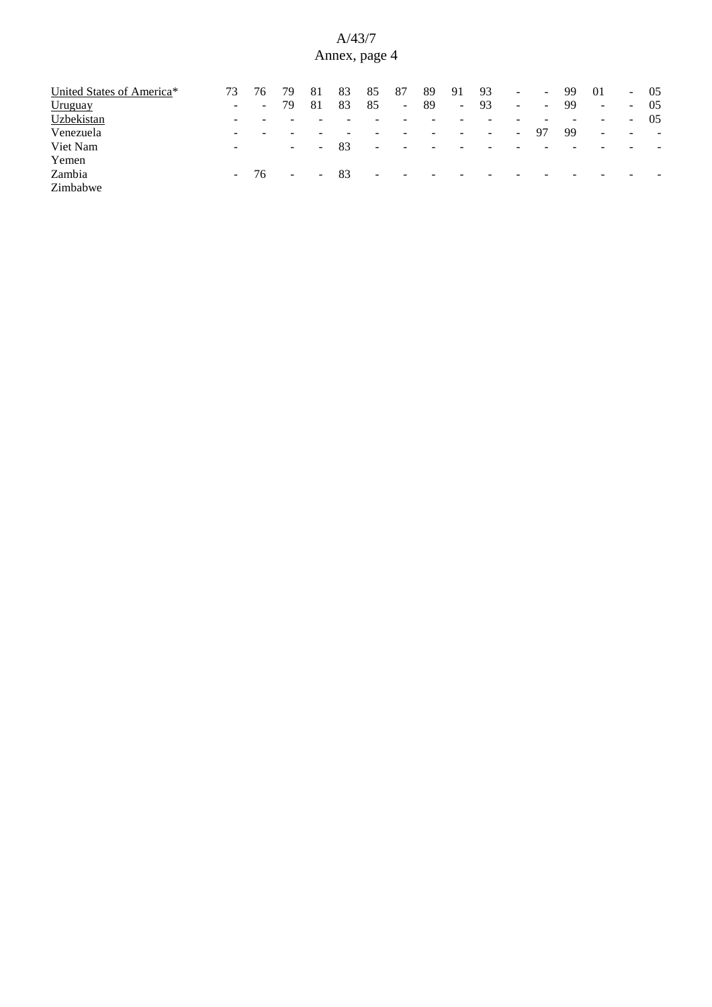| United States of America* | 73                       |    | 79     | 81         | 83  | 85                       | 87                       | 89                       | 91     | 93                       | $\sim$         | $\sim$                   | 99 | 01                       | $\sim$                   | -05                      |
|---------------------------|--------------------------|----|--------|------------|-----|--------------------------|--------------------------|--------------------------|--------|--------------------------|----------------|--------------------------|----|--------------------------|--------------------------|--------------------------|
| Uruguay                   | $\overline{\phantom{a}}$ | ۰. | 79     | 81         | 83  | 85                       | $\sim$                   | -89                      | $\sim$ | 93                       | $\sim$         | $\overline{\phantom{a}}$ | 99 | $\blacksquare$           | $\sim$                   | 05                       |
| Uzbekistan                | $\overline{\phantom{0}}$ |    |        |            |     |                          |                          |                          |        |                          |                |                          |    | $\overline{\phantom{0}}$ | $\sim$                   | 05                       |
| Venezuela                 | -                        |    | -      |            |     |                          |                          |                          | -      | $\overline{\phantom{a}}$ | $\sim$ 10 $\,$ | 97                       | 99 | $\sim$                   | $\overline{\phantom{a}}$ | $\overline{\phantom{a}}$ |
| Viet Nam                  | $\overline{\phantom{a}}$ |    | $\sim$ | $\sim$ .   | 83  | $\overline{\phantom{0}}$ | $\sim$                   | $\overline{\phantom{0}}$ |        | -                        |                |                          |    |                          |                          |                          |
| Yemen                     |                          |    |        |            |     |                          |                          |                          |        |                          |                |                          |    |                          |                          |                          |
| Zambia                    | $\sim 100$               | 76 | $\sim$ | $\sim$ $-$ | -83 | $\sim$                   | $\overline{\phantom{a}}$ | $\overline{\phantom{a}}$ | -      | -                        |                |                          |    |                          |                          |                          |
| Zimbabwe                  |                          |    |        |            |     |                          |                          |                          |        |                          |                |                          |    |                          |                          |                          |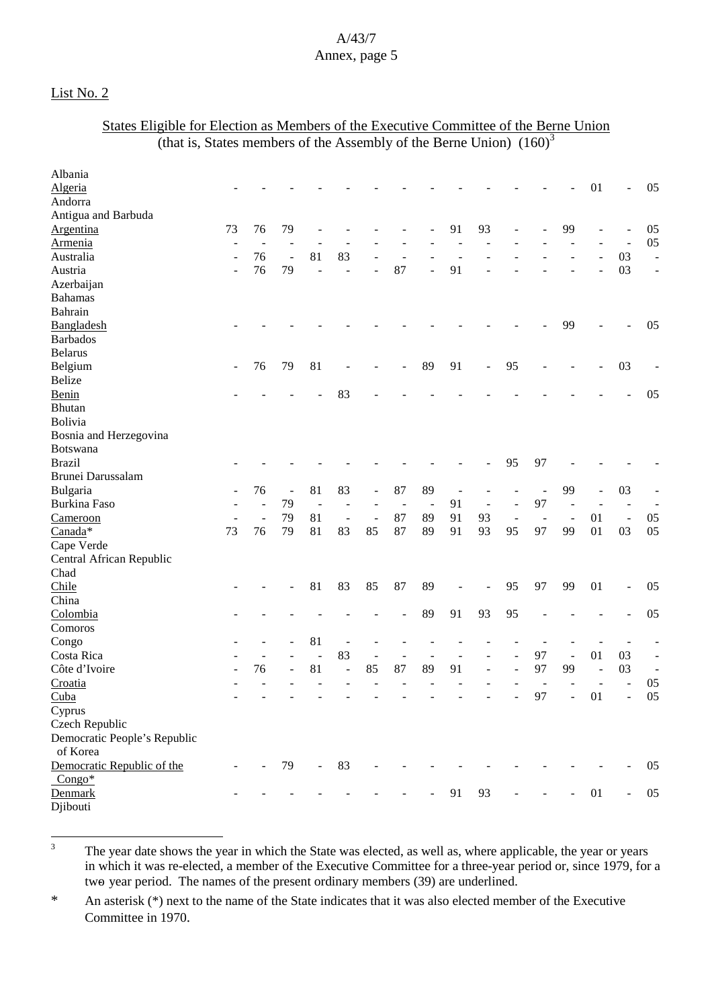### List No. 2

### States Eligible for Election as Members of the Executive Committee of the Berne Union (that is, States members of the Assembly of the Berne Union)  $(160)^3$

| Albania                                  |                          |                |                |                |                          |                              |                |                          |    |                          |                              |                          |    |                |                          |                          |
|------------------------------------------|--------------------------|----------------|----------------|----------------|--------------------------|------------------------------|----------------|--------------------------|----|--------------------------|------------------------------|--------------------------|----|----------------|--------------------------|--------------------------|
| Algeria                                  |                          |                |                |                |                          |                              |                |                          |    |                          |                              |                          |    | 01             | $\overline{a}$           | 05                       |
| Andorra                                  |                          |                |                |                |                          |                              |                |                          |    |                          |                              |                          |    |                |                          |                          |
| Antigua and Barbuda                      |                          |                |                |                |                          |                              |                |                          |    |                          |                              |                          |    |                |                          |                          |
| Argentina                                | 73                       | 76             | 79             |                |                          |                              |                |                          | 91 | 93                       | $\overline{a}$               |                          | 99 |                |                          | 05                       |
| <b>Armenia</b>                           | $\overline{a}$           |                |                |                |                          |                              |                |                          |    |                          |                              |                          |    |                | $\overline{a}$           | 05                       |
| Australia                                | ÷,                       | 76             | $\overline{a}$ | 81             | 83                       |                              |                |                          |    |                          |                              |                          |    |                | 03                       | $\overline{\phantom{a}}$ |
| Austria                                  | $\overline{\phantom{a}}$ | 76             | 79             |                |                          |                              | 87             | $\overline{\phantom{0}}$ | 91 |                          |                              |                          |    |                | 03                       | $\overline{\phantom{a}}$ |
| Azerbaijan                               |                          |                |                |                |                          |                              |                |                          |    |                          |                              |                          |    |                |                          |                          |
| <b>Bahamas</b>                           |                          |                |                |                |                          |                              |                |                          |    |                          |                              |                          |    |                |                          |                          |
| Bahrain                                  |                          |                |                |                |                          |                              |                |                          |    |                          |                              |                          |    |                |                          |                          |
| Bangladesh                               |                          |                |                |                |                          |                              |                |                          |    |                          |                              |                          | 99 |                |                          | 05                       |
| <b>Barbados</b>                          |                          |                |                |                |                          |                              |                |                          |    |                          |                              |                          |    |                |                          |                          |
| <b>Belarus</b>                           |                          |                |                |                |                          |                              |                |                          |    |                          |                              |                          |    |                |                          |                          |
| Belgium                                  | $\blacksquare$           | 76             | 79             | 81             |                          |                              |                | 89                       | 91 | $\blacksquare$           | 95                           |                          |    |                | 03                       |                          |
| <b>Belize</b>                            |                          |                |                |                |                          |                              |                |                          |    |                          |                              |                          |    |                |                          |                          |
| Benin                                    |                          |                |                |                | 83                       |                              |                |                          |    |                          |                              |                          |    |                |                          | 05                       |
| Bhutan                                   |                          |                |                |                |                          |                              |                |                          |    |                          |                              |                          |    |                |                          |                          |
| Bolivia                                  |                          |                |                |                |                          |                              |                |                          |    |                          |                              |                          |    |                |                          |                          |
| Bosnia and Herzegovina                   |                          |                |                |                |                          |                              |                |                          |    |                          |                              |                          |    |                |                          |                          |
| <b>Botswana</b>                          |                          |                |                |                |                          |                              |                |                          |    |                          |                              |                          |    |                |                          |                          |
| <b>Brazil</b>                            |                          |                |                |                |                          |                              |                |                          |    |                          | 95                           | 97                       |    |                |                          |                          |
| Brunei Darussalam                        |                          |                |                |                |                          |                              |                |                          |    |                          |                              |                          |    |                |                          |                          |
| Bulgaria                                 |                          | 76             | $\blacksquare$ | 81             | 83                       |                              | 87             | 89                       | ÷, |                          |                              | $\overline{\phantom{m}}$ | 99 | $\sim$         | 03                       |                          |
| <b>Burkina Faso</b>                      |                          | $\overline{a}$ | 79             | $\overline{a}$ |                          |                              | $\overline{a}$ | $\overline{\phantom{a}}$ | 91 | $\overline{\phantom{a}}$ | ÷,                           | 97                       |    |                |                          |                          |
| Cameroon                                 |                          | $\overline{a}$ | 79             | 81             | $\overline{\phantom{a}}$ | $\qquad \qquad \blacksquare$ | 87             | 89                       | 91 | 93                       | $\qquad \qquad \blacksquare$ | $\overline{\phantom{a}}$ |    | 01             | $\overline{a}$           | 05                       |
| Canada*                                  | 73                       | 76             | 79             | 81             | 83                       | 85                           | 87             | 89                       | 91 | 93                       | 95                           | 97                       | 99 | 01             | 03                       | 05                       |
| Cape Verde                               |                          |                |                |                |                          |                              |                |                          |    |                          |                              |                          |    |                |                          |                          |
| Central African Republic                 |                          |                |                |                |                          |                              |                |                          |    |                          |                              |                          |    |                |                          |                          |
| Chad                                     |                          |                |                |                |                          |                              |                |                          |    |                          |                              |                          |    |                |                          |                          |
| Chile                                    |                          |                |                | 81             | 83                       | 85                           | 87             | 89                       |    |                          | 95                           | 97                       | 99 | 01             | $\overline{\phantom{a}}$ | 05                       |
| China                                    |                          |                |                |                |                          |                              |                |                          |    |                          |                              |                          |    |                |                          |                          |
| Colombia                                 |                          |                |                |                |                          |                              |                | 89                       | 91 | 93                       | 95                           |                          |    |                |                          | 05                       |
| Comoros                                  |                          |                |                |                |                          |                              |                |                          |    |                          |                              |                          |    |                |                          |                          |
| Congo                                    |                          |                |                | 81             |                          |                              |                |                          |    |                          |                              |                          |    |                |                          |                          |
| Costa Rica                               |                          |                |                | $\overline{a}$ | 83                       |                              | ÷              | $\sim$                   |    |                          | ÷.                           | 97                       |    | 01             | 03                       | $\overline{\phantom{a}}$ |
| Côte d'Ivoire                            |                          | 76             |                | 81             | ÷,                       | 85                           | 87             | 89                       | 91 | $\overline{\phantom{a}}$ | $\overline{a}$               | 97                       | 99 | $\overline{a}$ | 03                       | $\overline{\phantom{a}}$ |
| Croatia                                  |                          |                |                |                |                          |                              |                |                          |    |                          |                              |                          |    |                |                          | 05                       |
| Cuba                                     |                          |                |                |                |                          |                              |                |                          |    |                          | $\overline{\phantom{a}}$     | 97                       | ÷, | 01             | $\frac{1}{2}$            | 05                       |
| Cyprus                                   |                          |                |                |                |                          |                              |                |                          |    |                          |                              |                          |    |                |                          |                          |
| Czech Republic                           |                          |                |                |                |                          |                              |                |                          |    |                          |                              |                          |    |                |                          |                          |
| Democratic People's Republic<br>of Korea |                          |                |                |                |                          |                              |                |                          |    |                          |                              |                          |    |                |                          |                          |
| Democratic Republic of the               |                          |                | 79             | $\frac{1}{2}$  | 83                       |                              |                |                          |    |                          |                              |                          |    |                |                          | 05                       |
| $Congo*$                                 |                          |                |                |                |                          |                              |                |                          |    |                          |                              |                          |    |                |                          |                          |
| Denmark                                  |                          |                |                |                |                          |                              |                |                          | 91 | 93                       |                              |                          |    | 01             |                          | 05                       |
| Djibouti                                 |                          |                |                |                |                          |                              |                |                          |    |                          |                              |                          |    |                |                          |                          |

<sup>3</sup> The year date shows the year in which the State was elected, as well as, where applicable, the year or years in which it was re-elected, a member of the Executive Committee for a three-year period or, since 1979, for a two- year period. The names of the present ordinary members (39) are underlined.

\* An asterisk (\*) next to the name of the State indicates that it was also elected member of the Executive Committee in 1970.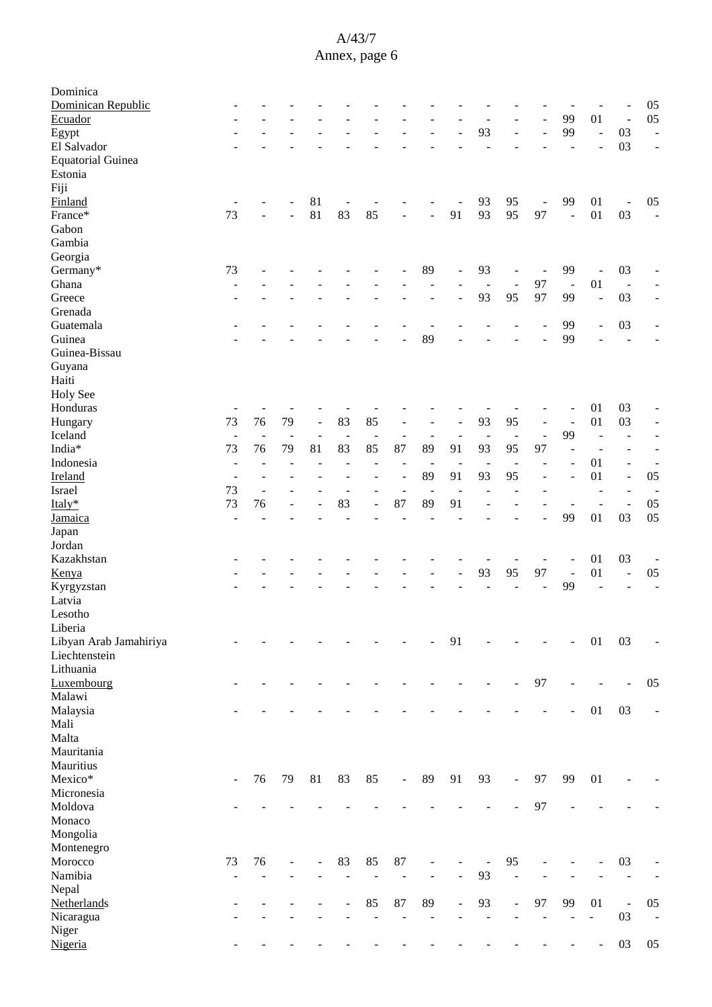| Dominica<br>Dominican Republic      |                          |                          |                          |                          |                |                          |                          |                          |                          |                                |                          |                          |                          |                          |                                | 05                       |
|-------------------------------------|--------------------------|--------------------------|--------------------------|--------------------------|----------------|--------------------------|--------------------------|--------------------------|--------------------------|--------------------------------|--------------------------|--------------------------|--------------------------|--------------------------|--------------------------------|--------------------------|
| Ecuador                             |                          |                          |                          |                          |                |                          |                          |                          |                          |                                |                          |                          | 99                       | 01                       | $\overline{\phantom{a}}$       | 05                       |
| Egypt                               |                          |                          |                          |                          |                |                          |                          |                          |                          | 93                             |                          |                          | 99                       | $\overline{a}$           | 03                             | $\overline{a}$           |
| El Salvador                         |                          |                          |                          |                          |                |                          |                          |                          |                          |                                |                          |                          |                          |                          | 03                             |                          |
| <b>Equatorial Guinea</b><br>Estonia |                          |                          |                          |                          |                |                          |                          |                          |                          |                                |                          |                          |                          |                          |                                |                          |
|                                     |                          |                          |                          |                          |                |                          |                          |                          |                          |                                |                          |                          |                          |                          |                                |                          |
| Fiji<br>Finland                     |                          |                          |                          | 81                       |                |                          |                          |                          |                          | 93                             | 95                       | $\overline{\phantom{a}}$ | 99                       | 01                       | $\overline{a}$                 | 05                       |
| France*                             | 73                       |                          |                          | 81                       | 83             | 85                       |                          | L.                       | 91                       | 93                             | 95                       | 97                       | ÷,                       | 01                       | 03                             | $\overline{\phantom{a}}$ |
| Gabon                               |                          |                          |                          |                          |                |                          |                          |                          |                          |                                |                          |                          |                          |                          |                                |                          |
| Gambia                              |                          |                          |                          |                          |                |                          |                          |                          |                          |                                |                          |                          |                          |                          |                                |                          |
| Georgia                             |                          |                          |                          |                          |                |                          |                          |                          |                          |                                |                          |                          |                          |                          |                                |                          |
| Germany*                            | 73                       |                          |                          |                          |                |                          |                          | 89                       |                          | 93                             |                          |                          | 99                       | L,                       | 03                             |                          |
| Ghana                               |                          |                          |                          |                          |                |                          |                          |                          |                          |                                |                          | $\overline{a}$<br>97     | $\sim$                   | 01                       |                                |                          |
| Greece                              |                          |                          |                          |                          |                |                          |                          |                          |                          | $\overline{\phantom{a}}$<br>93 | $\blacksquare$<br>95     | 97                       | 99                       | $\overline{a}$           | $\overline{\phantom{a}}$<br>03 |                          |
| Grenada                             |                          |                          |                          |                          |                |                          |                          |                          |                          |                                |                          |                          |                          |                          |                                |                          |
|                                     |                          |                          |                          |                          |                |                          |                          |                          |                          |                                |                          |                          | 99                       |                          |                                |                          |
| Guatemala<br>Guinea                 |                          |                          |                          |                          |                |                          |                          | 89                       |                          |                                |                          |                          | 99                       | $\overline{\phantom{a}}$ | 03<br>L,                       |                          |
|                                     |                          |                          |                          |                          |                |                          |                          |                          |                          |                                |                          |                          |                          |                          |                                |                          |
| Guinea-Bissau                       |                          |                          |                          |                          |                |                          |                          |                          |                          |                                |                          |                          |                          |                          |                                |                          |
| Guyana<br>Haiti                     |                          |                          |                          |                          |                |                          |                          |                          |                          |                                |                          |                          |                          |                          |                                |                          |
|                                     |                          |                          |                          |                          |                |                          |                          |                          |                          |                                |                          |                          |                          |                          |                                |                          |
| <b>Holy See</b>                     |                          |                          |                          |                          |                |                          |                          |                          |                          |                                |                          |                          |                          |                          |                                |                          |
| Honduras                            | 73                       | 76                       |                          |                          | 83             |                          |                          |                          |                          |                                | 95                       |                          |                          | 01<br>01                 | 03                             |                          |
| Hungary                             |                          |                          | 79                       | $\Box$                   |                | 85                       | $\overline{a}$           |                          |                          | 93                             |                          | $\overline{\phantom{a}}$ |                          |                          | 03                             | $\overline{a}$           |
| Iceland                             | $\blacksquare$           | $\overline{\phantom{a}}$ | $\overline{\phantom{a}}$ | $\overline{\phantom{a}}$ | $\overline{a}$ | $\overline{a}$           | $\overline{\phantom{a}}$ | $\overline{\phantom{a}}$ | $\overline{\phantom{m}}$ | $\overline{\phantom{a}}$       | $\sim$                   | $\overline{a}$           | 99                       | L.                       | $\overline{a}$                 |                          |
| India*                              | 73                       | 76                       | 79                       | 81                       | 83             | 85                       | 87                       | 89                       | 91                       | 93                             | 95                       | 97                       |                          | $\overline{a}$           |                                |                          |
| Indonesia                           | $\overline{\phantom{a}}$ |                          |                          | $\overline{a}$           |                |                          | $\overline{\phantom{a}}$ | $\overline{\phantom{a}}$ | $\overline{\phantom{m}}$ | $\overline{\phantom{a}}$       | $\sim$                   |                          |                          | 01                       | $\overline{\phantom{a}}$       |                          |
| Ireland                             |                          |                          |                          |                          |                |                          | L,                       | 89                       | 91                       | 93                             | 95                       |                          |                          | 01                       | $\blacksquare$                 | 05                       |
| Israel                              | 73                       | $\blacksquare$           |                          |                          |                |                          | $\overline{a}$           | $\overline{a}$           |                          |                                |                          |                          |                          | $\overline{a}$           |                                |                          |
| Italy*                              | 73                       | 76                       |                          |                          | 83             |                          | 87                       | 89                       | 91                       |                                |                          |                          |                          | $\overline{a}$           | $\blacksquare$                 | 05                       |
| Jamaica                             | $\overline{\phantom{a}}$ |                          |                          |                          |                |                          |                          |                          |                          |                                |                          |                          | 99                       | 01                       | 03                             | 05                       |
| Japan                               |                          |                          |                          |                          |                |                          |                          |                          |                          |                                |                          |                          |                          |                          |                                |                          |
| Jordan                              |                          |                          |                          |                          |                |                          |                          |                          |                          |                                |                          |                          |                          |                          |                                |                          |
| Kazakhstan                          |                          |                          |                          |                          |                |                          |                          |                          |                          |                                |                          |                          |                          | 01                       | 03                             |                          |
| Kenya                               |                          |                          |                          |                          |                |                          |                          |                          |                          | 93                             | 95                       | 97                       | $\overline{\phantom{a}}$ | 01                       | $\overline{\phantom{a}}$       | 05                       |
| Kyrgyzstan                          |                          |                          |                          |                          |                |                          |                          |                          |                          |                                |                          |                          | 99                       |                          |                                |                          |
| Latvia                              |                          |                          |                          |                          |                |                          |                          |                          |                          |                                |                          |                          |                          |                          |                                |                          |
| Lesotho                             |                          |                          |                          |                          |                |                          |                          |                          |                          |                                |                          |                          |                          |                          |                                |                          |
| Liberia                             |                          |                          |                          |                          |                |                          |                          |                          |                          |                                |                          |                          |                          |                          |                                |                          |
| Libyan Arab Jamahiriya              |                          |                          |                          |                          |                |                          |                          |                          | 91                       |                                |                          |                          |                          | 01                       | 03                             |                          |
| Liechtenstein                       |                          |                          |                          |                          |                |                          |                          |                          |                          |                                |                          |                          |                          |                          |                                |                          |
| Lithuania                           |                          |                          |                          |                          |                |                          |                          |                          |                          |                                |                          |                          |                          |                          |                                |                          |
| Luxembourg                          |                          |                          |                          |                          |                |                          |                          |                          |                          |                                |                          | 97                       |                          |                          |                                | 05                       |
| Malawi                              |                          |                          |                          |                          |                |                          |                          |                          |                          |                                |                          |                          |                          |                          |                                |                          |
| Malaysia                            |                          |                          |                          |                          |                |                          |                          |                          |                          |                                |                          |                          | ÷                        | 01                       | 03                             |                          |
| Mali                                |                          |                          |                          |                          |                |                          |                          |                          |                          |                                |                          |                          |                          |                          |                                |                          |
| Malta                               |                          |                          |                          |                          |                |                          |                          |                          |                          |                                |                          |                          |                          |                          |                                |                          |
| Mauritania                          |                          |                          |                          |                          |                |                          |                          |                          |                          |                                |                          |                          |                          |                          |                                |                          |
| Mauritius                           |                          |                          |                          |                          |                |                          |                          |                          |                          |                                |                          |                          |                          |                          |                                |                          |
| Mexico*                             | $\blacksquare$           | 76                       | 79                       | 81                       | 83             | 85                       | $\blacksquare$           | 89                       | 91                       | 93                             | $\overline{\phantom{a}}$ | 97                       | 99                       | 01                       |                                |                          |
| Micronesia                          |                          |                          |                          |                          |                |                          |                          |                          |                          |                                |                          |                          |                          |                          |                                |                          |
| Moldova                             |                          |                          |                          |                          |                |                          |                          |                          |                          |                                |                          | 97                       |                          |                          |                                |                          |
| Monaco                              |                          |                          |                          |                          |                |                          |                          |                          |                          |                                |                          |                          |                          |                          |                                |                          |
| Mongolia                            |                          |                          |                          |                          |                |                          |                          |                          |                          |                                |                          |                          |                          |                          |                                |                          |
| Montenegro                          |                          |                          |                          |                          |                |                          |                          |                          |                          |                                |                          |                          |                          |                          |                                |                          |
| Morocco                             | 73                       | 76                       |                          | ÷,                       | 83             | 85                       | $87\,$                   |                          |                          |                                | 95                       |                          |                          |                          | 03                             |                          |
| Namibia                             | $\overline{\phantom{a}}$ | $\overline{a}$           |                          |                          |                |                          | $\overline{a}$           | L,                       | ÷,                       | 93                             | $\overline{a}$           |                          |                          |                          |                                |                          |
| Nepal                               |                          |                          |                          |                          |                |                          |                          |                          |                          |                                |                          |                          |                          |                          |                                |                          |
| Netherlands                         |                          |                          |                          |                          |                | 85                       | 87                       | 89                       | $\overline{\phantom{m}}$ | 93                             | $\overline{\phantom{a}}$ | 97                       | 99                       | 01                       | $\blacksquare$                 | 05                       |
| Nicaragua                           |                          | $\overline{\phantom{0}}$ |                          |                          |                | $\overline{\phantom{a}}$ | $\overline{a}$           | $\overline{\phantom{a}}$ |                          | $\overline{\phantom{a}}$       | ä,                       | $\frac{1}{2}$            | $\overline{\phantom{a}}$ | $\blacksquare$           | 03                             | $\overline{\phantom{a}}$ |
| Niger                               |                          |                          |                          |                          |                |                          |                          |                          |                          |                                |                          |                          |                          |                          |                                |                          |
| Nigeria                             |                          |                          |                          |                          |                |                          |                          |                          |                          |                                |                          |                          |                          | $\overline{\phantom{a}}$ | 03                             | 05                       |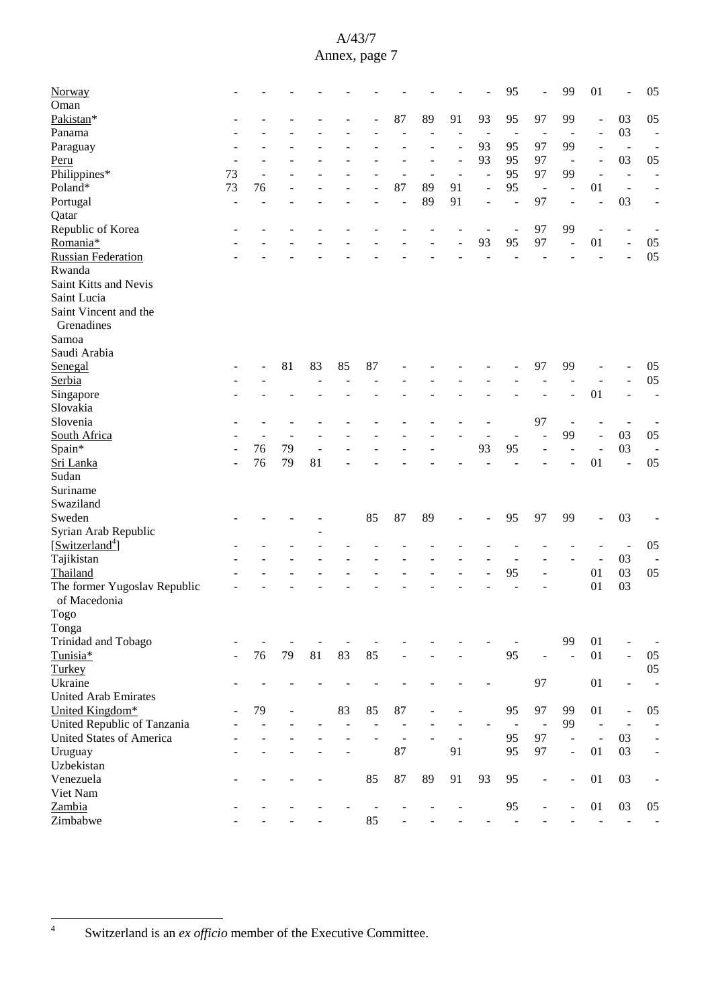| Norway                          |                          |    |    |    |    |    |                |        |    |                | 95             |                          | 99                       | 01                       |                          | 05                       |
|---------------------------------|--------------------------|----|----|----|----|----|----------------|--------|----|----------------|----------------|--------------------------|--------------------------|--------------------------|--------------------------|--------------------------|
| Oman                            |                          |    |    |    |    |    |                |        |    |                |                |                          |                          |                          |                          |                          |
| Pakistan*                       |                          |    |    |    |    |    | 87             | 89     | 91 | 93             | 95             | 97                       | 99                       | $\overline{\phantom{a}}$ | 03                       | 05                       |
| Panama                          |                          |    |    |    |    |    |                |        |    |                | $\overline{a}$ |                          |                          | $\overline{\phantom{a}}$ | 03                       | $\overline{\phantom{a}}$ |
| Paraguay                        |                          |    |    |    |    |    |                |        |    | 93             | 95             | 97                       | 99                       | $\overline{\phantom{a}}$ | $\overline{\phantom{a}}$ |                          |
| Peru                            |                          |    |    |    |    |    |                |        |    | 93             | 95             | 97                       | $\overline{\phantom{a}}$ | $\overline{\phantom{a}}$ | 03                       | 05                       |
| Philippines*                    | 73                       |    |    |    |    |    |                | $\sim$ |    | $\overline{a}$ | 95             | 97                       | 99                       | $\sim$                   | $\blacksquare$           |                          |
|                                 |                          |    |    |    |    |    |                |        |    |                |                |                          |                          |                          |                          |                          |
| Poland*                         | 73                       | 76 |    |    |    |    | 87             | 89     | 91 | L,             | 95             | $\overline{\phantom{a}}$ | ÷,                       | 01                       | $\overline{a}$           |                          |
| Portugal                        | $\overline{\phantom{a}}$ |    |    |    |    |    | $\overline{a}$ | 89     | 91 |                | $\overline{a}$ | 97                       | $\blacksquare$           | J.                       | 03                       | $\overline{a}$           |
| Qatar                           |                          |    |    |    |    |    |                |        |    |                |                |                          |                          |                          |                          |                          |
| Republic of Korea               |                          |    |    |    |    |    |                |        |    |                | $\overline{a}$ | 97                       | 99                       | ÷,                       | $\overline{a}$           |                          |
| Romania*                        |                          |    |    |    |    |    |                |        |    | 93             | 95             | 97                       |                          | 01                       | $\overline{a}$           | 05                       |
| <b>Russian Federation</b>       |                          |    |    |    |    |    |                |        |    |                |                |                          |                          |                          |                          | 05                       |
| Rwanda                          |                          |    |    |    |    |    |                |        |    |                |                |                          |                          |                          |                          |                          |
| Saint Kitts and Nevis           |                          |    |    |    |    |    |                |        |    |                |                |                          |                          |                          |                          |                          |
| Saint Lucia                     |                          |    |    |    |    |    |                |        |    |                |                |                          |                          |                          |                          |                          |
| Saint Vincent and the           |                          |    |    |    |    |    |                |        |    |                |                |                          |                          |                          |                          |                          |
| Grenadines                      |                          |    |    |    |    |    |                |        |    |                |                |                          |                          |                          |                          |                          |
| Samoa                           |                          |    |    |    |    |    |                |        |    |                |                |                          |                          |                          |                          |                          |
| Saudi Arabia                    |                          |    |    |    |    |    |                |        |    |                |                |                          |                          |                          |                          |                          |
| Senegal                         |                          |    | 81 | 83 | 85 | 87 |                |        |    |                |                | 97                       | 99                       |                          |                          | 05                       |
| Serbia                          |                          |    |    |    |    |    |                |        |    |                |                |                          |                          |                          |                          | $05\,$                   |
|                                 |                          |    |    |    |    |    |                |        |    |                |                |                          |                          | 01                       |                          |                          |
| Singapore                       |                          |    |    |    |    |    |                |        |    |                |                |                          |                          |                          |                          | $\overline{\phantom{0}}$ |
| Slovakia                        |                          |    |    |    |    |    |                |        |    |                |                |                          |                          |                          |                          |                          |
| Slovenia                        |                          |    |    |    |    |    |                |        |    |                |                | 97                       |                          |                          |                          |                          |
| South Africa                    |                          |    |    |    |    |    |                |        |    |                |                |                          | 99                       | $\overline{a}$           | 03                       | 05                       |
| Spain*                          |                          | 76 | 79 |    |    |    |                |        |    | 93             | 95             |                          |                          |                          | 03                       |                          |
| Sri Lanka                       |                          | 76 | 79 | 81 |    |    |                |        |    |                |                |                          |                          | 01                       | L,                       | 05                       |
| Sudan                           |                          |    |    |    |    |    |                |        |    |                |                |                          |                          |                          |                          |                          |
| Suriname                        |                          |    |    |    |    |    |                |        |    |                |                |                          |                          |                          |                          |                          |
| Swaziland                       |                          |    |    |    |    |    |                |        |    |                |                |                          |                          |                          |                          |                          |
| Sweden                          |                          |    |    |    |    | 85 | 87             | 89     |    |                | 95             | 97                       | 99                       | L,                       | 03                       |                          |
| Syrian Arab Republic            |                          |    |    |    |    |    |                |        |    |                |                |                          |                          |                          |                          |                          |
| [Switzerland <sup>4</sup> ]     |                          |    |    |    |    |    |                |        |    |                |                |                          |                          |                          | $\overline{\phantom{a}}$ | 05                       |
| Tajikistan                      |                          |    |    |    |    |    |                |        |    |                |                |                          |                          | $\overline{\phantom{a}}$ | 03                       |                          |
| Thailand                        |                          |    |    |    |    |    |                |        |    |                | 95             |                          |                          | 01                       | 03                       | 05                       |
| The former Yugoslav Republic    |                          |    |    |    |    |    |                |        |    |                |                |                          |                          | 01                       | 03                       |                          |
| of Macedonia                    |                          |    |    |    |    |    |                |        |    |                |                |                          |                          |                          |                          |                          |
|                                 |                          |    |    |    |    |    |                |        |    |                |                |                          |                          |                          |                          |                          |
| $\rm Togo$                      |                          |    |    |    |    |    |                |        |    |                |                |                          |                          |                          |                          |                          |
| Tonga                           |                          |    |    |    |    |    |                |        |    |                |                |                          |                          |                          |                          |                          |
| Trinidad and Tobago             |                          |    |    |    |    |    |                |        |    |                |                |                          | 99                       | 01                       |                          |                          |
| Tunisia*                        |                          | 76 | 79 | 81 | 83 | 85 |                |        |    |                | 95             |                          | $\sim$                   | 01                       | ÷,                       | $05\,$                   |
| Turkey                          |                          |    |    |    |    |    |                |        |    |                |                |                          |                          |                          |                          | $05\,$                   |
| Ukraine                         |                          |    |    |    |    |    |                |        |    |                |                | 97                       |                          | 01                       | $\overline{a}$           | $\overline{a}$           |
| <b>United Arab Emirates</b>     |                          |    |    |    |    |    |                |        |    |                |                |                          |                          |                          |                          |                          |
| United Kingdom*                 |                          | 79 |    |    | 83 | 85 | 87             |        |    |                | 95             | 97                       | 99                       | 01                       | $\blacksquare$           | $05\,$                   |
| United Republic of Tanzania     |                          |    |    |    |    |    |                |        |    |                | $\sim$         | $\overline{\phantom{a}}$ | 99                       | $\Box$                   |                          |                          |
| <b>United States of America</b> |                          |    |    |    |    |    |                |        |    |                | 95             | 97                       | $\overline{\phantom{a}}$ | $\overline{\phantom{a}}$ | 03                       | $\overline{\phantom{0}}$ |
| Uruguay                         |                          |    |    |    |    |    | 87             |        | 91 |                | 95             | 97                       | $\overline{\phantom{a}}$ | 01                       | 03                       | $\overline{\phantom{a}}$ |
| Uzbekistan                      |                          |    |    |    |    |    |                |        |    |                |                |                          |                          |                          |                          |                          |
| Venezuela                       |                          |    |    |    |    | 85 | 87             | 89     | 91 | 93             | 95             | $\overline{a}$           | $\overline{\phantom{a}}$ | 01                       | 03                       | $\overline{\phantom{0}}$ |
| Viet Nam                        |                          |    |    |    |    |    |                |        |    |                |                |                          |                          |                          |                          |                          |
| Zambia                          |                          |    |    |    |    |    |                |        |    |                | 95             | $\overline{a}$           |                          | 01                       | 03                       | 05                       |
| Zimbabwe                        |                          |    |    |    |    | 85 |                |        |    |                |                |                          |                          |                          |                          |                          |
|                                 |                          |    |    |    |    |    |                |        |    |                |                |                          |                          |                          | $\overline{\phantom{m}}$ |                          |

<sup>4</sup> Switzerland is an *ex officio* member of the Executive Committee.